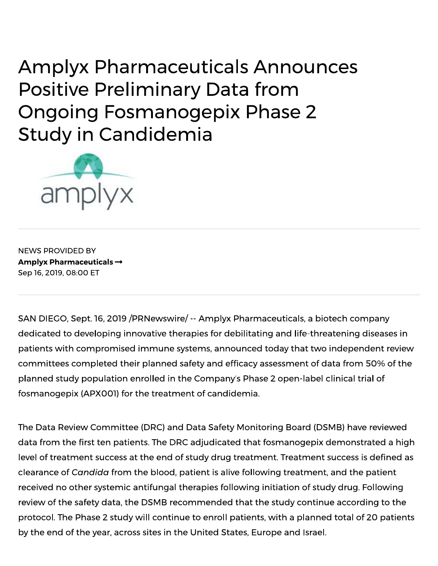**Amplyx Pharmaceuticals Announces Positive Preliminary Data from Ongoing Fosmanogepix Phase 2 Study in Candidemia** 



**NEWS PROVIDED BY** Amplyx Pharmaceuticals  $\rightarrow$ Sep 16, 2019, 08:00 ET

SAN DIEGO, Sept. 16, 2019 / PRNewswire / -- Amplyx Pharmaceuticals, a biotech company dedicated to developing innovative therapies for debilitating and life-threatening diseases in patients with compromised immune systems, announced today that two independent review committees completed their planned safety and efficacy assessment of data from 50% of the planned study population enrolled in the Company's Phase 2 open-label clinical trial of fosmanogepix (APX001) for the treatment of candidemia.

The Data Review Committee (DRC) and Data Safety Monitoring Board (DSMB) have reviewed data from the first ten patients. The DRC adjudicated that fosmanogepix demonstrated a high level of treatment success at the end of study drug treatment. Treatment success is defined as clearance of Candida from the blood, patient is alive following treatment, and the patient received no other systemic antifungal therapies following initiation of study drug. Following review of the safety data, the DSMB recommended that the study continue according to the protocol. The Phase 2 study will continue to enroll patients, with a planned total of 20 patients by the end of the year, across sites in the United States, Europe and Israel.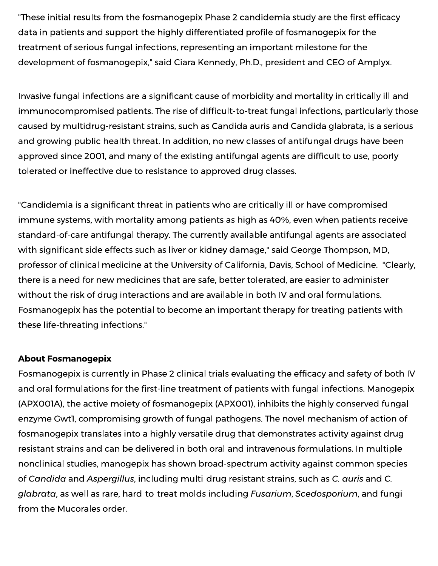"These initial results from the fosmanogepix Phase 2 candidemia study are the first efficacy data in patients and support the highly differentiated profile of fosmanogepix for the treatment of serious fungal infections, representing an important milestone for the development of fosmanogepix," said Ciara Kennedy, Ph.D., president and CEO of Amplyx.

Invasive fungal infections are a significant cause of morbidity and mortality in critically ill and immunocompromised patients. The rise of difficult-to-treat fungal infections, particularly those caused by multidrug-resistant strains, such as Candida auris and Candida glabrata, is a serious and growing public health threat. In addition, no new classes of antifungal drugs have been approved since 2001, and many of the existing antifungal agents are difficult to use, poorly tolerated or ineffective due to resistance to approved drug classes.

"Candidemia is a significant threat in patients who are critically ill or have compromised immune systems, with mortality among patients as high as 40%, even when patients receive standard-of-care antifungal therapy. The currently available antifungal agents are associated with significant side effects such as liver or kidney damage," said George Thompson, MD, professor of clinical medicine at the University of California, Davis, School of Medicine. "Clearly, there is a need for new medicines that are safe, better tolerated, are easier to administer without the risk of drug interactions and are available in both IV and oral formulations. Fosmanogepix has the potential to become an important therapy for treating patients with these life-threating infections."

## **About Fosmanogepix**

Fosmanogepix is currently in Phase 2 clinical trials evaluating the efficacy and safety of both IV and oral formulations for the first-line treatment of patients with fungal infections. Manogepix (APX001A), the active moiety of fosmanogepix (APX001), inhibits the highly conserved fungal enzyme Gwtl, compromising growth of fungal pathogens. The novel mechanism of action of fosmanogepix translates into a highly versatile drug that demonstrates activity against drugresistant strains and can be delivered in both oral and intravenous formulations. In multiple nonclinical studies, manogepix has shown broad-spectrum activity against common species of Candida and Aspergillus, including multi-drug resistant strains, such as C. quris and C. glabrata, as well as rare, hard-to-treat molds including Fusarium, Scedosporium, and fungi from the Mucorales order.